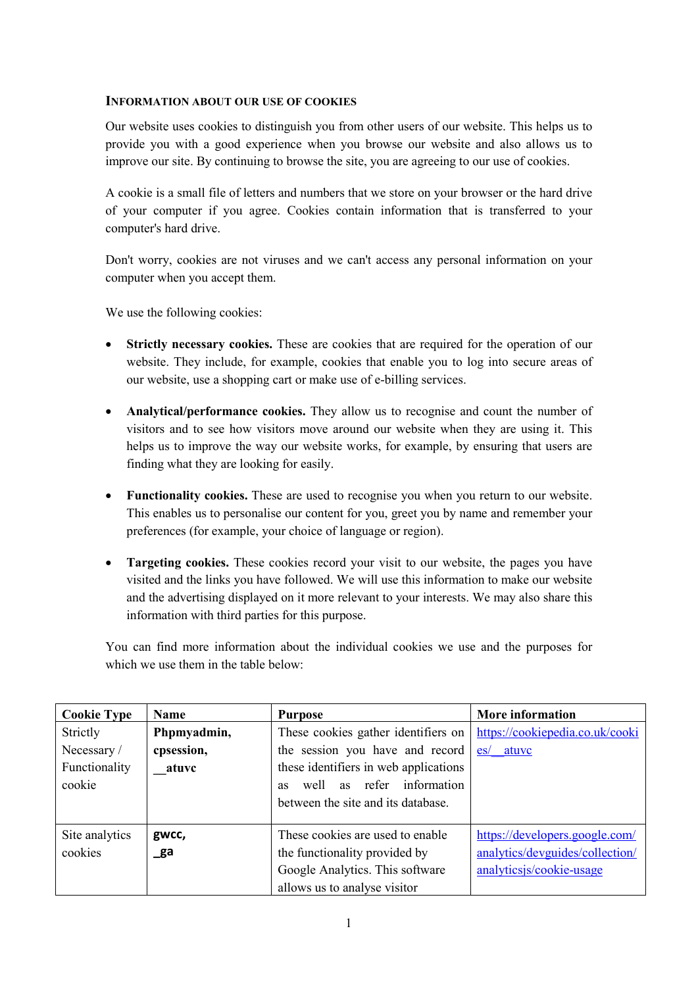## **INFORMATION ABOUT OUR USE OF COOKIES**

Our website uses cookies to distinguish you from other users of our website. This helps us to provide you with a good experience when you browse our website and also allows us to improve our site. By continuing to browse the site, you are agreeing to our use of cookies.

A cookie is a small file of letters and numbers that we store on your browser or the hard drive of your computer if you agree. Cookies contain information that is transferred to your computer's hard drive.

Don't worry, cookies are not viruses and we can't access any personal information on your computer when you accept them.

We use the following cookies:

- **Strictly necessary cookies.** These are cookies that are required for the operation of our website. They include, for example, cookies that enable you to log into secure areas of our website, use a shopping cart or make use of e-billing services.
- **Analytical/performance cookies.** They allow us to recognise and count the number of visitors and to see how visitors move around our website when they are using it. This helps us to improve the way our website works, for example, by ensuring that users are finding what they are looking for easily.
- **Functionality cookies.** These are used to recognise you when you return to our website. This enables us to personalise our content for you, greet you by name and remember your preferences (for example, your choice of language or region).
- **Targeting cookies.** These cookies record your visit to our website, the pages you have visited and the links you have followed. We will use this information to make our website and the advertising displayed on it more relevant to your interests. We may also share this information with third parties for this purpose.

You can find more information about the individual cookies we use and the purposes for which we use them in the table below:

| <b>Cookie Type</b> | Name        | <b>Purpose</b>                            | <b>More information</b>         |
|--------------------|-------------|-------------------------------------------|---------------------------------|
| Strictly           | Phpmyadmin, | These cookies gather identifiers on       | https://cookiepedia.co.uk/cooki |
| Necessary/         | cpsession,  | the session you have and record           | atuvc<br>$\mathbf{e}\mathbf{s}$ |
| Functionality      | atuvc       | these identifiers in web applications     |                                 |
| cookie             |             | as refer information<br>well<br><b>as</b> |                                 |
|                    |             | between the site and its database.        |                                 |
|                    |             |                                           |                                 |
| Site analytics     | gwcc,       | These cookies are used to enable          | https://developers.google.com/  |
| cookies            | _ga         | the functionality provided by             | analytics/devguides/collection/ |
|                    |             | Google Analytics. This software           | analyticsjs/cookie-usage        |
|                    |             | allows us to analyse visitor              |                                 |